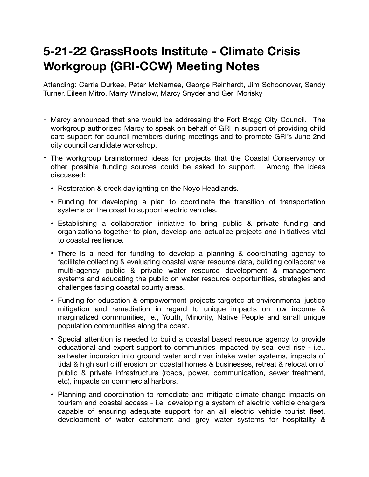## **5-21-22 GrassRoots Institute - Climate Crisis Workgroup (GRI-CCW) Meeting Notes**

Attending: Carrie Durkee, Peter McNamee, George Reinhardt, Jim Schoonover, Sandy Turner, Eileen Mitro, Marry Winslow, Marcy Snyder and Geri Morisky

- Marcy announced that she would be addressing the Fort Bragg City Council. The workgroup authorized Marcy to speak on behalf of GRI in support of providing child care support for council members during meetings and to promote GRI's June 2nd city council candidate workshop.
- The workgroup brainstormed ideas for projects that the Coastal Conservancy or other possible funding sources could be asked to support. Among the ideas discussed:
	- Restoration & creek daylighting on the Noyo Headlands.
	- Funding for developing a plan to coordinate the transition of transportation systems on the coast to support electric vehicles.
	- Establishing a collaboration initiative to bring public & private funding and organizations together to plan, develop and actualize projects and initiatives vital to coastal resilience.
	- There is a need for funding to develop a planning & coordinating agency to facilitate collecting & evaluating coastal water resource data, building collaborative multi-agency public & private water resource development & management systems and educating the public on water resource opportunities, strategies and challenges facing coastal county areas.
	- Funding for education & empowerment projects targeted at environmental justice mitigation and remediation in regard to unique impacts on low income & marginalized communities, ie., Youth, Minority, Native People and small unique population communities along the coast.
	- Special attention is needed to build a coastal based resource agency to provide educational and expert support to communities impacted by sea level rise - i.e., saltwater incursion into ground water and river intake water systems, impacts of tidal & high surf cliff erosion on coastal homes & businesses, retreat & relocation of public & private infrastructure (roads, power, communication, sewer treatment, etc), impacts on commercial harbors.
	- Planning and coordination to remediate and mitigate climate change impacts on tourism and coastal access - i.e, developing a system of electric vehicle chargers capable of ensuring adequate support for an all electric vehicle tourist fleet, development of water catchment and grey water systems for hospitality &